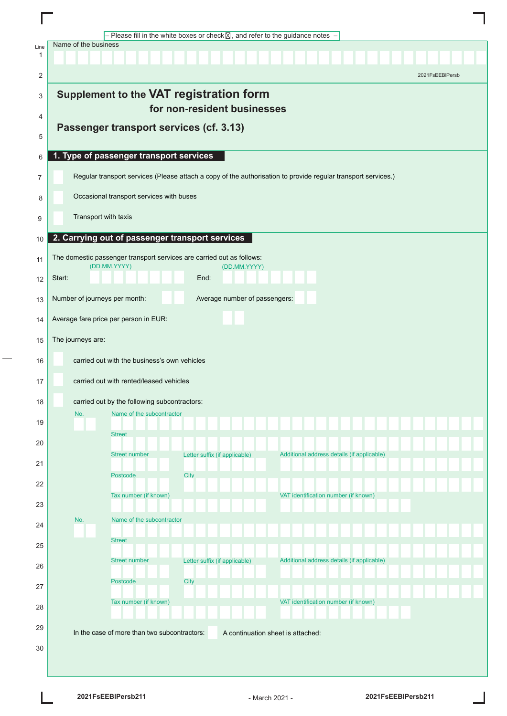|           |                                                                |                                                 | - Please fill in the white boxes or check $\boxtimes$ , and refer to the guidance notes - |                                                                                                               |                 |
|-----------|----------------------------------------------------------------|-------------------------------------------------|-------------------------------------------------------------------------------------------|---------------------------------------------------------------------------------------------------------------|-----------------|
| Line<br>1 | Name of the business                                           |                                                 |                                                                                           |                                                                                                               |                 |
| 2         |                                                                |                                                 |                                                                                           |                                                                                                               | 2021FsEEBIPersb |
| 3         |                                                                |                                                 | <b>Supplement to the VAT registration form</b>                                            |                                                                                                               |                 |
|           |                                                                |                                                 | for non-resident businesses                                                               |                                                                                                               |                 |
| 4<br>5    | Passenger transport services (cf. 3.13)                        |                                                 |                                                                                           |                                                                                                               |                 |
| 6         |                                                                | 1. Type of passenger transport services         |                                                                                           |                                                                                                               |                 |
| 7         |                                                                |                                                 |                                                                                           | Regular transport services (Please attach a copy of the authorisation to provide regular transport services.) |                 |
|           |                                                                |                                                 |                                                                                           |                                                                                                               |                 |
| 8         |                                                                | Occasional transport services with buses        |                                                                                           |                                                                                                               |                 |
| 9         | Transport with taxis                                           |                                                 |                                                                                           |                                                                                                               |                 |
| 10        |                                                                | 2. Carrying out of passenger transport services |                                                                                           |                                                                                                               |                 |
| 11        | (DD.MM.YYYY)                                                   |                                                 | The domestic passenger transport services are carried out as follows:<br>(DD.MM.YYYY)     |                                                                                                               |                 |
| 12        | Start:                                                         |                                                 | End:                                                                                      |                                                                                                               |                 |
| 13        | Number of journeys per month:<br>Average number of passengers: |                                                 |                                                                                           |                                                                                                               |                 |
| 14        | Average fare price per person in EUR:                          |                                                 |                                                                                           |                                                                                                               |                 |
| 15        | The journeys are:                                              |                                                 |                                                                                           |                                                                                                               |                 |
| 16        |                                                                | carried out with the business's own vehicles    |                                                                                           |                                                                                                               |                 |
| 17        |                                                                | carried out with rented/leased vehicles         |                                                                                           |                                                                                                               |                 |
| 18        |                                                                | carried out by the following subcontractors:    |                                                                                           |                                                                                                               |                 |
|           | No.                                                            | Name of the subcontractor                       |                                                                                           |                                                                                                               |                 |
| 19        |                                                                | <b>Street</b>                                   |                                                                                           |                                                                                                               |                 |
| 20        |                                                                | <b>Street number</b>                            | Letter suffix (if applicable)                                                             | Additional address details (if applicable)                                                                    |                 |
| 21        |                                                                | Postcode                                        | City                                                                                      |                                                                                                               |                 |
| 22        |                                                                |                                                 |                                                                                           |                                                                                                               |                 |
| 23        |                                                                | Tax number (if known)                           |                                                                                           | VAT identification number (if known)                                                                          |                 |
| 24        | No.                                                            | Name of the subcontractor                       |                                                                                           |                                                                                                               |                 |
| 25        |                                                                | <b>Street</b>                                   |                                                                                           |                                                                                                               |                 |
| 26        |                                                                | <b>Street number</b>                            | Letter suffix (if applicable)                                                             | Additional address details (if applicable)                                                                    |                 |
| 27        |                                                                | Postcode                                        | City                                                                                      |                                                                                                               |                 |
| 28        |                                                                | Tax number (if known)                           |                                                                                           | VAT identification number (if known)                                                                          |                 |
|           |                                                                |                                                 |                                                                                           |                                                                                                               |                 |
| 29        |                                                                | In the case of more than two subcontractors:    |                                                                                           | A continuation sheet is attached:                                                                             |                 |
| 30        |                                                                |                                                 |                                                                                           |                                                                                                               |                 |
|           |                                                                |                                                 |                                                                                           |                                                                                                               |                 |

I